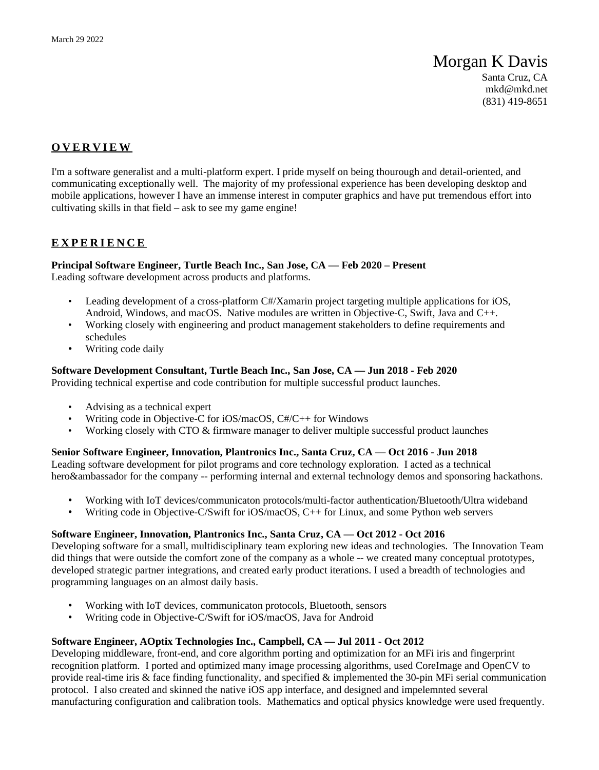# Morgan K Davis

Santa Cruz, CA [mkd@mkd.net](mailto:mkd@mkd.net) (831) 419-8651

## **O V E R V I E W**

I'm a software generalist and a multi-platform expert. I pride myself on being thourough and detail-oriented, and communicating exceptionally well. The majority of my professional experience has been developing desktop and mobile applications, however I have an immense interest in computer graphics and have put tremendous effort into cultivating skills in that field – ask to see my game engine!

## **E X P E R I E N C E**

#### **Principal Software Engineer, Turtle Beach Inc., San Jose, CA — Feb 2020 – Present** Leading software development across products and platforms.

- Leading development of a cross-platform C#/Xamarin project targeting multiple applications for iOS, Android, Windows, and macOS. Native modules are written in Objective-C, Swift, Java and C++.
- Working closely with engineering and product management stakeholders to define requirements and schedules
- Writing code daily

**Software Development Consultant, Turtle Beach Inc., San Jose, CA — Jun 2018 - Feb 2020** Providing technical expertise and code contribution for multiple successful product launches.

- Advising as a technical expert
- Writing code in Objective-C for iOS/macOS, C#/C++ for Windows
- Working closely with CTO & firmware manager to deliver multiple successful product launches

#### **Senior Software Engineer, Innovation, Plantronics Inc., Santa Cruz, CA — Oct 2016 - Jun 2018**

Leading software development for pilot programs and core technology exploration. I acted as a technical hero&ambassador for the company -- performing internal and external technology demos and sponsoring hackathons.

- Working with IoT devices/communicaton protocols/multi-factor authentication/Bluetooth/Ultra wideband
- Writing code in Objective-C/Swift for iOS/macOS, C++ for Linux, and some Python web servers

## **Software Engineer, Innovation, Plantronics Inc., Santa Cruz, CA — Oct 2012 - Oct 2016**

Developing software for a small, multidisciplinary team exploring new ideas and technologies. The Innovation Team did things that were outside the comfort zone of the company as a whole -- we created many conceptual prototypes, developed strategic partner integrations, and created early product iterations. I used a breadth of technologies and programming languages on an almost daily basis.

- Working with IoT devices, communicaton protocols, Bluetooth, sensors
- Writing code in Objective-C/Swift for iOS/macOS, Java for Android

#### **Software Engineer, AOptix Technologies Inc., Campbell, CA — Jul 2011 - Oct 2012**

Developing middleware, front-end, and core algorithm porting and optimization for an MFi iris and fingerprint recognition platform. I ported and optimized many image processing algorithms, used CoreImage and OpenCV to provide real-time iris & face finding functionality, and specified & implemented the 30-pin MFi serial communication protocol. I also created and skinned the native iOS app interface, and designed and impelemnted several manufacturing configuration and calibration tools. Mathematics and optical physics knowledge were used frequently.